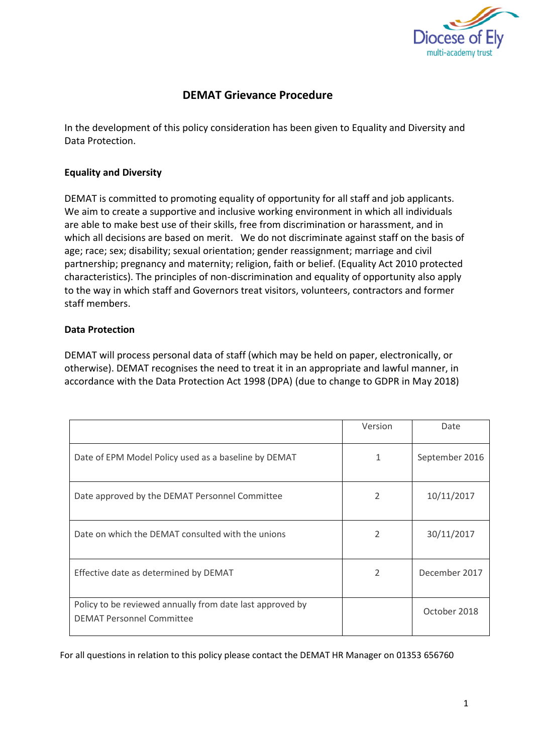

## **DEMAT Grievance Procedure**

In the development of this policy consideration has been given to Equality and Diversity and Data Protection.

## **Equality and Diversity**

DEMAT is committed to promoting equality of opportunity for all staff and job applicants. We aim to create a supportive and inclusive working environment in which all individuals are able to make best use of their skills, free from discrimination or harassment, and in which all decisions are based on merit. We do not discriminate against staff on the basis of age; race; sex; disability; sexual orientation; gender reassignment; marriage and civil partnership; pregnancy and maternity; religion, faith or belief. (Equality Act 2010 protected characteristics). The principles of non-discrimination and equality of opportunity also apply to the way in which staff and Governors treat visitors, volunteers, contractors and former staff members.

## **Data Protection**

DEMAT will process personal data of staff (which may be held on paper, electronically, or otherwise). DEMAT recognises the need to treat it in an appropriate and lawful manner, in accordance with the Data Protection Act 1998 (DPA) (due to change to GDPR in May 2018)

|                                                                                               | Version        | Date           |
|-----------------------------------------------------------------------------------------------|----------------|----------------|
| Date of EPM Model Policy used as a baseline by DEMAT                                          | 1              | September 2016 |
| Date approved by the DEMAT Personnel Committee                                                | 2              | 10/11/2017     |
| Date on which the DEMAT consulted with the unions                                             | $\overline{2}$ | 30/11/2017     |
| Effective date as determined by DEMAT                                                         | 2              | December 2017  |
| Policy to be reviewed annually from date last approved by<br><b>DEMAT Personnel Committee</b> |                | October 2018   |

For all questions in relation to this policy please contact the DEMAT HR Manager on 01353 656760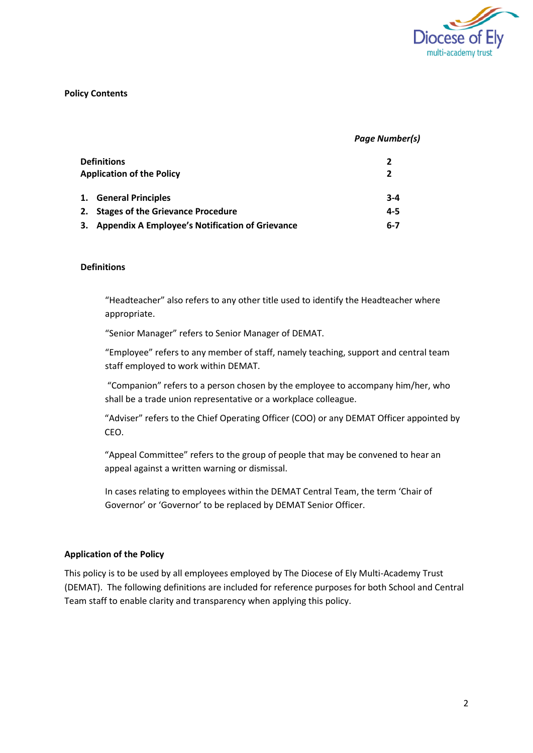

#### **Policy Contents**

#### *Page Number(s)*

| Definitions<br><b>Application of the Policy</b> |                                                    |         |
|-------------------------------------------------|----------------------------------------------------|---------|
|                                                 | 1. General Principles                              | $3 - 4$ |
|                                                 | 2. Stages of the Grievance Procedure               | $4 - 5$ |
|                                                 | 3. Appendix A Employee's Notification of Grievance | $6 - 7$ |

#### **Definitions**

"Headteacher" also refers to any other title used to identify the Headteacher where appropriate.

"Senior Manager" refers to Senior Manager of DEMAT.

"Employee" refers to any member of staff, namely teaching, support and central team staff employed to work within DEMAT.

"Companion" refers to a person chosen by the employee to accompany him/her, who shall be a trade union representative or a workplace colleague.

"Adviser" refers to the Chief Operating Officer (COO) or any DEMAT Officer appointed by CEO.

"Appeal Committee" refers to the group of people that may be convened to hear an appeal against a written warning or dismissal.

In cases relating to employees within the DEMAT Central Team, the term 'Chair of Governor' or 'Governor' to be replaced by DEMAT Senior Officer.

#### **Application of the Policy**

This policy is to be used by all employees employed by The Diocese of Ely Multi-Academy Trust (DEMAT). The following definitions are included for reference purposes for both School and Central Team staff to enable clarity and transparency when applying this policy.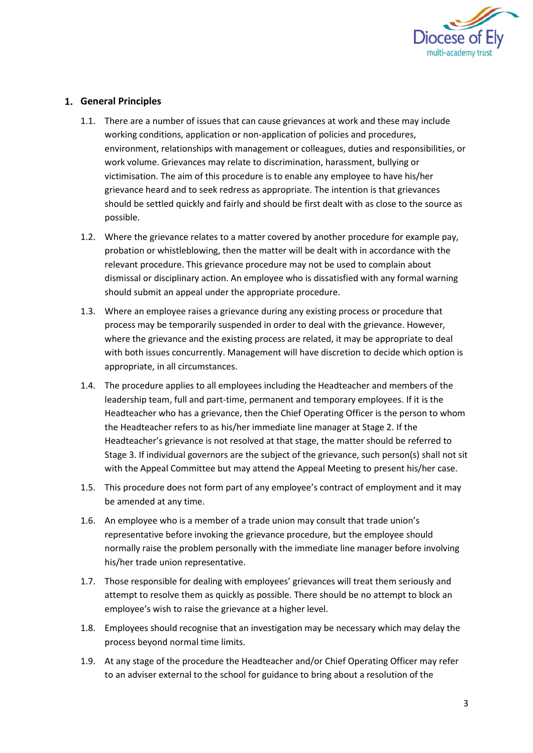

## **General Principles**

- 1.1. There are a number of issues that can cause grievances at work and these may include working conditions, application or non-application of policies and procedures, environment, relationships with management or colleagues, duties and responsibilities, or work volume. Grievances may relate to discrimination, harassment, bullying or victimisation. The aim of this procedure is to enable any employee to have his/her grievance heard and to seek redress as appropriate. The intention is that grievances should be settled quickly and fairly and should be first dealt with as close to the source as possible.
- 1.2. Where the grievance relates to a matter covered by another procedure for example pay, probation or whistleblowing, then the matter will be dealt with in accordance with the relevant procedure. This grievance procedure may not be used to complain about dismissal or disciplinary action. An employee who is dissatisfied with any formal warning should submit an appeal under the appropriate procedure.
- 1.3. Where an employee raises a grievance during any existing process or procedure that process may be temporarily suspended in order to deal with the grievance. However, where the grievance and the existing process are related, it may be appropriate to deal with both issues concurrently. Management will have discretion to decide which option is appropriate, in all circumstances.
- 1.4. The procedure applies to all employees including the Headteacher and members of the leadership team, full and part-time, permanent and temporary employees. If it is the Headteacher who has a grievance, then the Chief Operating Officer is the person to whom the Headteacher refers to as his/her immediate line manager at Stage 2. If the Headteacher's grievance is not resolved at that stage, the matter should be referred to Stage 3. If individual governors are the subject of the grievance, such person(s) shall not sit with the Appeal Committee but may attend the Appeal Meeting to present his/her case.
- 1.5. This procedure does not form part of any employee's contract of employment and it may be amended at any time.
- 1.6. An employee who is a member of a trade union may consult that trade union's representative before invoking the grievance procedure, but the employee should normally raise the problem personally with the immediate line manager before involving his/her trade union representative.
- 1.7. Those responsible for dealing with employees' grievances will treat them seriously and attempt to resolve them as quickly as possible. There should be no attempt to block an employee's wish to raise the grievance at a higher level.
- 1.8. Employees should recognise that an investigation may be necessary which may delay the process beyond normal time limits.
- 1.9. At any stage of the procedure the Headteacher and/or Chief Operating Officer may refer to an adviser external to the school for guidance to bring about a resolution of the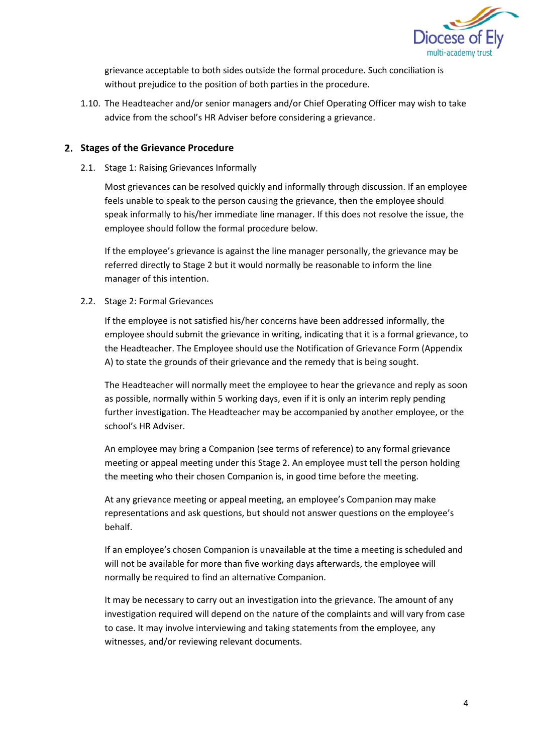

grievance acceptable to both sides outside the formal procedure. Such conciliation is without prejudice to the position of both parties in the procedure.

1.10. The Headteacher and/or senior managers and/or Chief Operating Officer may wish to take advice from the school's HR Adviser before considering a grievance.

### **Stages of the Grievance Procedure**

2.1. Stage 1: Raising Grievances Informally

Most grievances can be resolved quickly and informally through discussion. If an employee feels unable to speak to the person causing the grievance, then the employee should speak informally to his/her immediate line manager. If this does not resolve the issue, the employee should follow the formal procedure below.

If the employee's grievance is against the line manager personally, the grievance may be referred directly to Stage 2 but it would normally be reasonable to inform the line manager of this intention.

2.2. Stage 2: Formal Grievances

If the employee is not satisfied his/her concerns have been addressed informally, the employee should submit the grievance in writing, indicating that it is a formal grievance, to the Headteacher. The Employee should use the Notification of Grievance Form (Appendix A) to state the grounds of their grievance and the remedy that is being sought.

The Headteacher will normally meet the employee to hear the grievance and reply as soon as possible, normally within 5 working days, even if it is only an interim reply pending further investigation. The Headteacher may be accompanied by another employee, or the school's HR Adviser.

An employee may bring a Companion (see terms of reference) to any formal grievance meeting or appeal meeting under this Stage 2. An employee must tell the person holding the meeting who their chosen Companion is, in good time before the meeting.

At any grievance meeting or appeal meeting, an employee's Companion may make representations and ask questions, but should not answer questions on the employee's behalf.

If an employee's chosen Companion is unavailable at the time a meeting is scheduled and will not be available for more than five working days afterwards, the employee will normally be required to find an alternative Companion.

It may be necessary to carry out an investigation into the grievance. The amount of any investigation required will depend on the nature of the complaints and will vary from case to case. It may involve interviewing and taking statements from the employee, any witnesses, and/or reviewing relevant documents.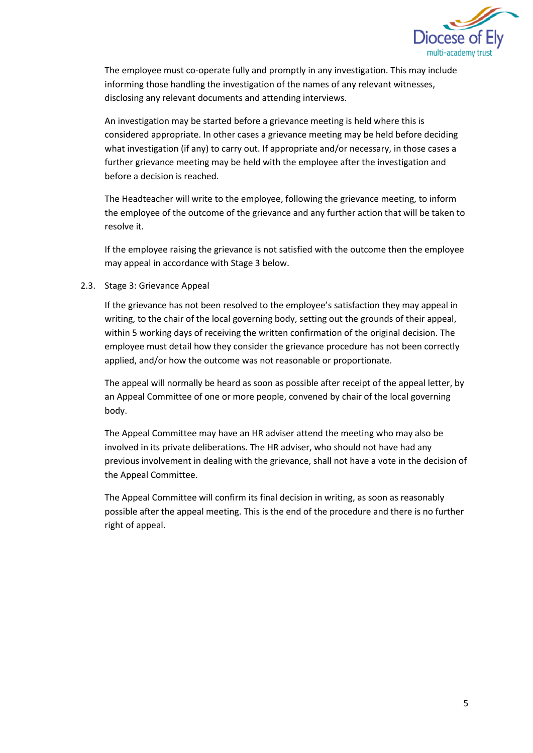

The employee must co-operate fully and promptly in any investigation. This may include informing those handling the investigation of the names of any relevant witnesses, disclosing any relevant documents and attending interviews.

An investigation may be started before a grievance meeting is held where this is considered appropriate. In other cases a grievance meeting may be held before deciding what investigation (if any) to carry out. If appropriate and/or necessary, in those cases a further grievance meeting may be held with the employee after the investigation and before a decision is reached.

The Headteacher will write to the employee, following the grievance meeting, to inform the employee of the outcome of the grievance and any further action that will be taken to resolve it.

If the employee raising the grievance is not satisfied with the outcome then the employee may appeal in accordance with Stage 3 below.

2.3. Stage 3: Grievance Appeal

If the grievance has not been resolved to the employee's satisfaction they may appeal in writing, to the chair of the local governing body, setting out the grounds of their appeal, within 5 working days of receiving the written confirmation of the original decision. The employee must detail how they consider the grievance procedure has not been correctly applied, and/or how the outcome was not reasonable or proportionate.

The appeal will normally be heard as soon as possible after receipt of the appeal letter, by an Appeal Committee of one or more people, convened by chair of the local governing body.

The Appeal Committee may have an HR adviser attend the meeting who may also be involved in its private deliberations. The HR adviser, who should not have had any previous involvement in dealing with the grievance, shall not have a vote in the decision of the Appeal Committee.

The Appeal Committee will confirm its final decision in writing, as soon as reasonably possible after the appeal meeting. This is the end of the procedure and there is no further right of appeal.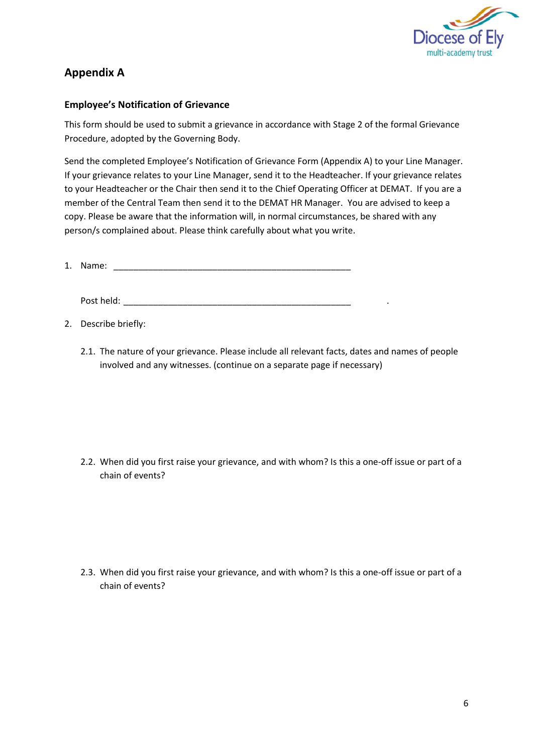

# **Appendix A**

## **Employee's Notification of Grievance**

This form should be used to submit a grievance in accordance with Stage 2 of the formal Grievance Procedure, adopted by the Governing Body.

Send the completed Employee's Notification of Grievance Form (Appendix A) to your Line Manager. If your grievance relates to your Line Manager, send it to the Headteacher. If your grievance relates to your Headteacher or the Chair then send it to the Chief Operating Officer at DEMAT. If you are a member of the Central Team then send it to the DEMAT HR Manager. You are advised to keep a copy. Please be aware that the information will, in normal circumstances, be shared with any person/s complained about. Please think carefully about what you write.

1. Name: \_\_\_\_\_\_\_\_\_\_\_\_\_\_\_\_\_\_\_\_\_\_\_\_\_\_\_\_\_\_\_\_\_\_\_\_\_\_\_\_\_\_\_\_\_\_\_\_

Post held: \_\_\_\_\_\_\_\_\_\_\_\_\_\_\_\_\_\_\_\_\_\_\_\_\_\_\_\_\_\_\_\_\_\_\_\_\_\_\_\_\_\_\_\_\_\_ .

2. Describe briefly:

2.1. The nature of your grievance. Please include all relevant facts, dates and names of people involved and any witnesses. (continue on a separate page if necessary)

2.2. When did you first raise your grievance, and with whom? Is this a one-off issue or part of a chain of events?

2.3. When did you first raise your grievance, and with whom? Is this a one-off issue or part of a chain of events?